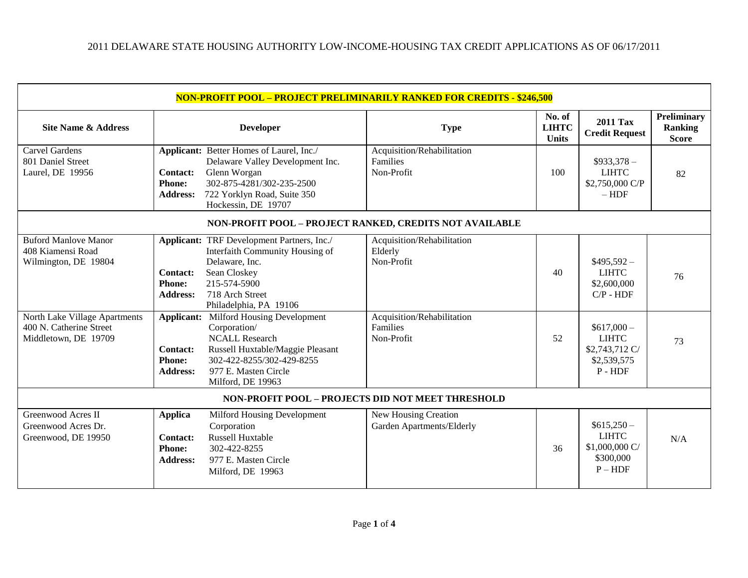| <b>NON-PROFIT POOL - PROJECT PRELIMINARILY RANKED FOR CREDITS - \$246,500</b>                                                                                |                                                                                                            |                                                                                                                                                                                                                                                                                                                                                                                             |                                                                                                             |                                        |                                                                                                                                          |                                               |  |  |
|--------------------------------------------------------------------------------------------------------------------------------------------------------------|------------------------------------------------------------------------------------------------------------|---------------------------------------------------------------------------------------------------------------------------------------------------------------------------------------------------------------------------------------------------------------------------------------------------------------------------------------------------------------------------------------------|-------------------------------------------------------------------------------------------------------------|----------------------------------------|------------------------------------------------------------------------------------------------------------------------------------------|-----------------------------------------------|--|--|
| <b>Site Name &amp; Address</b>                                                                                                                               |                                                                                                            | <b>Developer</b>                                                                                                                                                                                                                                                                                                                                                                            | <b>Type</b>                                                                                                 | No. of<br><b>LIHTC</b><br><b>Units</b> | <b>2011 Tax</b><br><b>Credit Request</b>                                                                                                 | Preliminary<br><b>Ranking</b><br><b>Score</b> |  |  |
| <b>Carvel Gardens</b><br>801 Daniel Street<br>Laurel, DE 19956                                                                                               | <b>Contact:</b><br><b>Phone:</b><br><b>Address:</b>                                                        | Applicant: Better Homes of Laurel, Inc./<br>Delaware Valley Development Inc.<br>Glenn Worgan<br>302-875-4281/302-235-2500<br>722 Yorklyn Road, Suite 350<br>Hockessin, DE 19707                                                                                                                                                                                                             | Acquisition/Rehabilitation<br>Families<br>Non-Profit                                                        | 100                                    | $$933,378-$<br><b>LIHTC</b><br>\$2,750,000 C/P<br>$- HDF$                                                                                | 82                                            |  |  |
| NON-PROFIT POOL - PROJECT RANKED, CREDITS NOT AVAILABLE                                                                                                      |                                                                                                            |                                                                                                                                                                                                                                                                                                                                                                                             |                                                                                                             |                                        |                                                                                                                                          |                                               |  |  |
| <b>Buford Manlove Manor</b><br>408 Kiamensi Road<br>Wilmington, DE 19804<br>North Lake Village Apartments<br>400 N. Catherine Street<br>Middletown, DE 19709 | <b>Contact:</b><br><b>Phone:</b><br><b>Address:</b><br><b>Contact:</b><br><b>Phone:</b><br><b>Address:</b> | <b>Applicant:</b> TRF Development Partners, Inc./<br>Interfaith Community Housing of<br>Delaware, Inc.<br>Sean Closkey<br>215-574-5900<br>718 Arch Street<br>Philadelphia, PA 19106<br><b>Applicant:</b> Milford Housing Development<br>Corporation/<br><b>NCALL Research</b><br>Russell Huxtable/Maggie Pleasant<br>302-422-8255/302-429-8255<br>977 E. Masten Circle<br>Milford, DE 19963 | Acquisition/Rehabilitation<br>Elderly<br>Non-Profit<br>Acquisition/Rehabilitation<br>Families<br>Non-Profit | 40<br>52                               | $$495,592-$<br><b>LIHTC</b><br>\$2,600,000<br>$C/P$ - $HDF$<br>$$617,000-$<br><b>LIHTC</b><br>\$2,743,712 C/<br>\$2,539,575<br>$P - HDF$ | 76<br>73                                      |  |  |
| NON-PROFIT POOL - PROJECTS DID NOT MEET THRESHOLD                                                                                                            |                                                                                                            |                                                                                                                                                                                                                                                                                                                                                                                             |                                                                                                             |                                        |                                                                                                                                          |                                               |  |  |
| Greenwood Acres II<br>Greenwood Acres Dr.<br>Greenwood, DE 19950                                                                                             | <b>Applica</b><br><b>Contact:</b><br><b>Phone:</b><br><b>Address:</b>                                      | Milford Housing Development<br>Corporation<br><b>Russell Huxtable</b><br>302-422-8255<br>977 E. Masten Circle<br>Milford, DE 19963                                                                                                                                                                                                                                                          | New Housing Creation<br>Garden Apartments/Elderly                                                           | 36                                     | $$615,250-$<br><b>LIHTC</b><br>\$1,000,000 C/<br>\$300,000<br>$P - HDF$                                                                  | N/A                                           |  |  |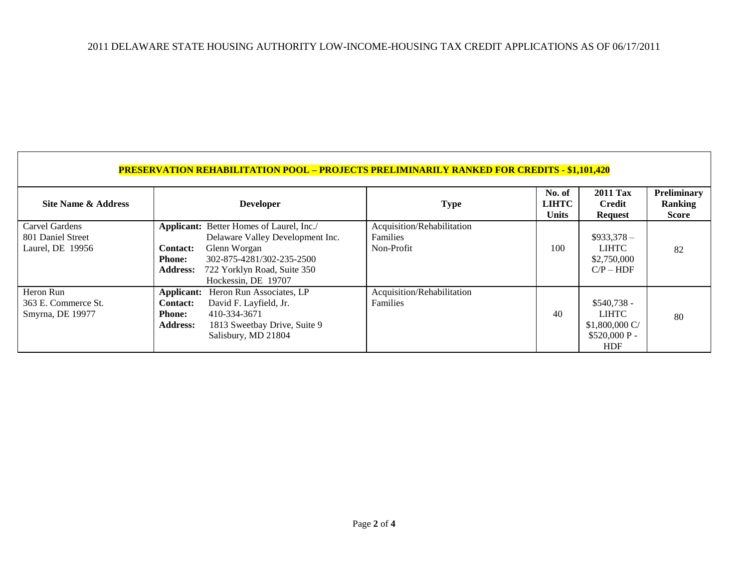## 2011 DELAWARE STATE HOUSING AUTHORITY LOW-INCOME-HOUSING TAX CREDIT APPLICATIONS AS OF 06/17/2011

| <b>PRESERVATION REHABILITATION POOL - PROJECTS PRELIMINARILY RANKED FOR CREDITS - \$1,101,420</b> |                                                                   |                                                                                                                                                                                 |                                                             |                                        |                                                                                 |                                        |  |  |
|---------------------------------------------------------------------------------------------------|-------------------------------------------------------------------|---------------------------------------------------------------------------------------------------------------------------------------------------------------------------------|-------------------------------------------------------------|----------------------------------------|---------------------------------------------------------------------------------|----------------------------------------|--|--|
| Site Name & Address                                                                               |                                                                   | <b>Developer</b>                                                                                                                                                                | <b>Type</b>                                                 | No. of<br><b>LIHTC</b><br><b>Units</b> | <b>2011 Tax</b><br>Credit<br><b>Request</b>                                     | Preliminary<br><b>Ranking</b><br>Score |  |  |
| Carvel Gardens<br>801 Daniel Street<br>Laurel, DE 19956                                           | <b>Contact:</b><br><b>Phone:</b><br><b>Address:</b>               | Applicant: Better Homes of Laurel, Inc./<br>Delaware Valley Development Inc.<br>Glenn Worgan<br>302-875-4281/302-235-2500<br>722 Yorklyn Road, Suite 350<br>Hockessin, DE 19707 | Acquisition/Rehabilitation<br><b>Families</b><br>Non-Profit | 100                                    | $$933,378-$<br><b>LIHTC</b><br>\$2,750,000<br>$CP - HDF$                        | 82                                     |  |  |
| Heron Run<br>363 E. Commerce St.<br>Smyrna, DE 19977                                              | Applicant:<br><b>Contact:</b><br><b>Phone:</b><br><b>Address:</b> | Heron Run Associates, LP<br>David F. Layfield, Jr.<br>410-334-3671<br>1813 Sweetbay Drive, Suite 9<br>Salisbury, MD 21804                                                       | Acquisition/Rehabilitation<br><b>Families</b>               | 40                                     | $$540,738 -$<br><b>LIHTC</b><br>$$1,800,000$ C/<br>$$520,000 P -$<br><b>HDF</b> | 80                                     |  |  |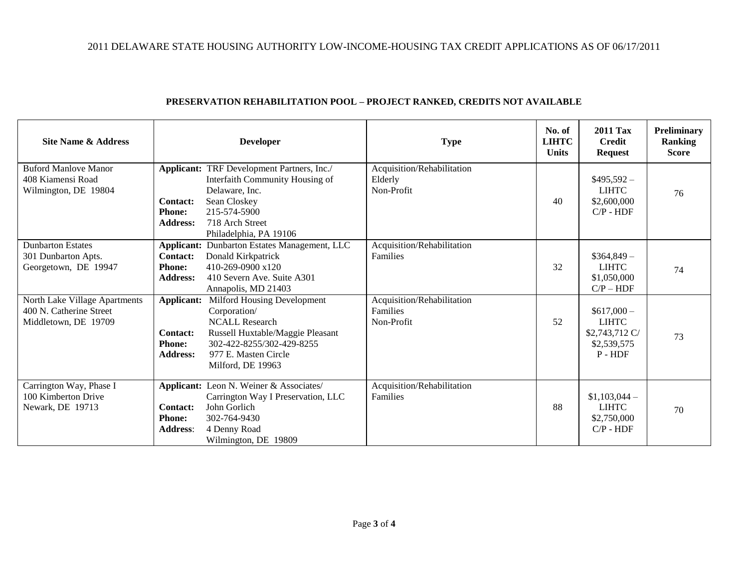## 2011 DELAWARE STATE HOUSING AUTHORITY LOW-INCOME-HOUSING TAX CREDIT APPLICATIONS AS OF 06/17/2011

| Site Name & Address                                                              |                                                                   | <b>Developer</b>                                                                                                                                                                   | <b>Type</b>                                          | No. of<br><b>LIHTC</b><br><b>Units</b> | <b>2011 Tax</b><br><b>Credit</b><br><b>Request</b>                        | Preliminary<br><b>Ranking</b><br><b>Score</b> |
|----------------------------------------------------------------------------------|-------------------------------------------------------------------|------------------------------------------------------------------------------------------------------------------------------------------------------------------------------------|------------------------------------------------------|----------------------------------------|---------------------------------------------------------------------------|-----------------------------------------------|
| <b>Buford Manlove Manor</b><br>408 Kiamensi Road<br>Wilmington, DE 19804         | <b>Contact:</b><br><b>Phone:</b><br><b>Address:</b>               | Applicant: TRF Development Partners, Inc./<br>Interfaith Community Housing of<br>Delaware, Inc.<br>Sean Closkey<br>215-574-5900<br>718 Arch Street<br>Philadelphia, PA 19106       | Acquisition/Rehabilitation<br>Elderly<br>Non-Profit  | 40                                     | $$495,592-$<br><b>LIHTC</b><br>\$2,600,000<br>$C/P - HDF$                 | 76                                            |
| <b>Dunbarton Estates</b><br>301 Dunbarton Apts.<br>Georgetown, DE 19947          | <b>Contact:</b><br><b>Phone:</b><br><b>Address:</b>               | <b>Applicant:</b> Dunbarton Estates Management, LLC<br>Donald Kirkpatrick<br>410-269-0900 x120<br>410 Severn Ave. Suite A301<br>Annapolis, MD 21403                                | Acquisition/Rehabilitation<br>Families               | 32                                     | $$364,849-$<br><b>LIHTC</b><br>\$1,050,000<br>$C/P - HDF$                 | 74                                            |
| North Lake Village Apartments<br>400 N. Catherine Street<br>Middletown, DE 19709 | Applicant:<br><b>Contact:</b><br><b>Phone:</b><br><b>Address:</b> | Milford Housing Development<br>Corporation/<br><b>NCALL Research</b><br>Russell Huxtable/Maggie Pleasant<br>302-422-8255/302-429-8255<br>977 E. Masten Circle<br>Milford, DE 19963 | Acquisition/Rehabilitation<br>Families<br>Non-Profit | 52                                     | $$617,000-$<br><b>LIHTC</b><br>\$2,743,712 C/<br>\$2,539,575<br>$P - HDF$ | 73                                            |
| Carrington Way, Phase I<br>100 Kimberton Drive<br>Newark, DE 19713               | Contact:<br><b>Phone:</b><br><b>Address:</b>                      | Applicant: Leon N. Weiner & Associates/<br>Carrington Way I Preservation, LLC<br>John Gorlich<br>302-764-9430<br>4 Denny Road<br>Wilmington, DE 19809                              | Acquisition/Rehabilitation<br>Families               | 88                                     | $$1,103,044-$<br><b>LIHTC</b><br>\$2,750,000<br>$CP - HDF$                | 70                                            |

## **PRESERVATION REHABILITATION POOL – PROJECT RANKED, CREDITS NOT AVAILABLE**